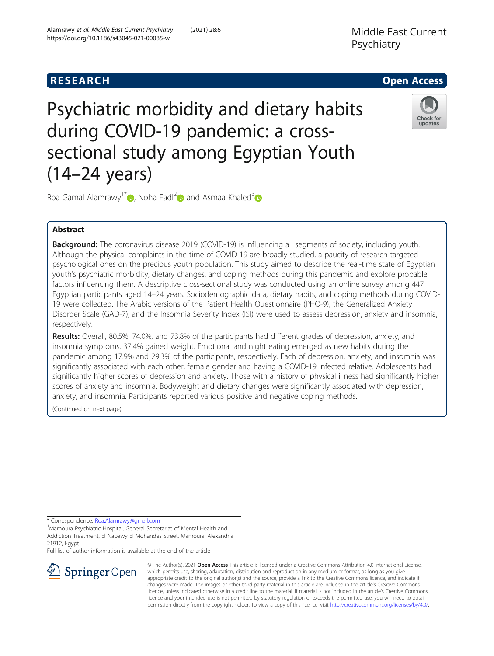# Middle East Current Psychiatry



Psychiatric morbidity and dietary habits during COVID-19 pandemic: a crosssectional study among Egyptian Youth (14–24 years)



Roa Gamal Alamrawy<sup>1\*</sup>  $\bullet$ [,](http://orcid.org/0000-0001-5980-4554) Noha Fadl<sup>[2](http://orcid.org/0000-0001-9807-2720)</sup> and Asmaa Khaled<sup>[3](http://orcid.org/0000-0003-0733-9966)</sup>

# Abstract

Background: The coronavirus disease 2019 (COVID-19) is influencing all segments of society, including youth. Although the physical complaints in the time of COVID-19 are broadly-studied, a paucity of research targeted psychological ones on the precious youth population. This study aimed to describe the real-time state of Egyptian youth's psychiatric morbidity, dietary changes, and coping methods during this pandemic and explore probable factors influencing them. A descriptive cross-sectional study was conducted using an online survey among 447 Egyptian participants aged 14–24 years. Sociodemographic data, dietary habits, and coping methods during COVID-19 were collected. The Arabic versions of the Patient Health Questionnaire (PHQ-9), the Generalized Anxiety Disorder Scale (GAD-7), and the Insomnia Severity Index (ISI) were used to assess depression, anxiety and insomnia, respectively.

Results: Overall, 80.5%, 74.0%, and 73.8% of the participants had different grades of depression, anxiety, and insomnia symptoms. 37.4% gained weight. Emotional and night eating emerged as new habits during the pandemic among 17.9% and 29.3% of the participants, respectively. Each of depression, anxiety, and insomnia was significantly associated with each other, female gender and having a COVID-19 infected relative. Adolescents had significantly higher scores of depression and anxiety. Those with a history of physical illness had significantly higher scores of anxiety and insomnia. Bodyweight and dietary changes were significantly associated with depression, anxiety, and insomnia. Participants reported various positive and negative coping methods.

(Continued on next page)

\* Correspondence: [Roa.Alamrawy@gmail.com](mailto:Roa.Alamrawy@gmail.com) <sup>1</sup>

<sup>1</sup> Mamoura Psychiatric Hospital, General Secretariat of Mental Health and Addiction Treatment, El Nabawy El Mohandes Street, Mamoura, Alexandria 21912, Egypt

Full list of author information is available at the end of the article



© The Author(s). 2021 Open Access This article is licensed under a Creative Commons Attribution 4.0 International License, which permits use, sharing, adaptation, distribution and reproduction in any medium or format, as long as you give appropriate credit to the original author(s) and the source, provide a link to the Creative Commons licence, and indicate if changes were made. The images or other third party material in this article are included in the article's Creative Commons licence, unless indicated otherwise in a credit line to the material. If material is not included in the article's Creative Commons licence and your intended use is not permitted by statutory regulation or exceeds the permitted use, you will need to obtain permission directly from the copyright holder. To view a copy of this licence, visit <http://creativecommons.org/licenses/by/4.0/>.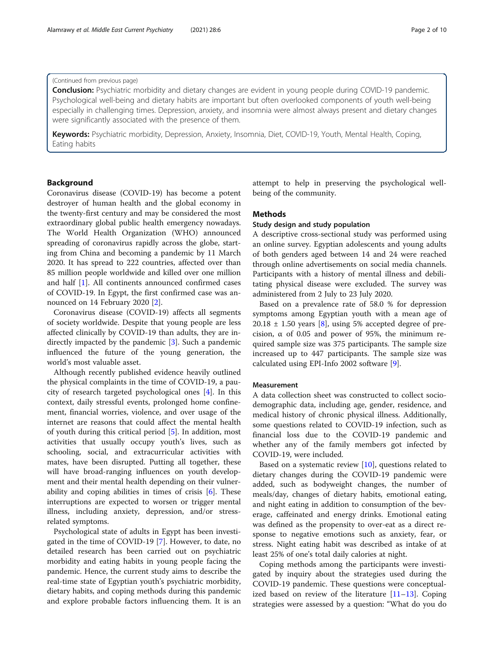#### Alamrawy et al. Middle East Current Psychiatry (2021) 28:6 Page 2 of 10

## (Continued from previous page)

**Conclusion:** Psychiatric morbidity and dietary changes are evident in young people during COVID-19 pandemic. Psychological well-being and dietary habits are important but often overlooked components of youth well-being especially in challenging times. Depression, anxiety, and insomnia were almost always present and dietary changes were significantly associated with the presence of them.

Keywords: Psychiatric morbidity, Depression, Anxiety, Insomnia, Diet, COVID-19, Youth, Mental Health, Coping, Eating habits

# Background

Coronavirus disease (COVID-19) has become a potent destroyer of human health and the global economy in the twenty-first century and may be considered the most extraordinary global public health emergency nowadays. The World Health Organization (WHO) announced spreading of coronavirus rapidly across the globe, starting from China and becoming a pandemic by 11 March 2020. It has spread to 222 countries, affected over than 85 million people worldwide and killed over one million and half [[1\]](#page-8-0). All continents announced confirmed cases of COVID-19. In Egypt, the first confirmed case was announced on 14 February 2020 [[2\]](#page-8-0).

Coronavirus disease (COVID-19) affects all segments of society worldwide. Despite that young people are less affected clinically by COVID-19 than adults, they are indirectly impacted by the pandemic [\[3](#page-8-0)]. Such a pandemic influenced the future of the young generation, the world's most valuable asset.

Although recently published evidence heavily outlined the physical complaints in the time of COVID-19, a paucity of research targeted psychological ones [\[4](#page-9-0)]. In this context, daily stressful events, prolonged home confinement, financial worries, violence, and over usage of the internet are reasons that could affect the mental health of youth during this critical period [[5\]](#page-9-0). In addition, most activities that usually occupy youth's lives, such as schooling, social, and extracurricular activities with mates, have been disrupted. Putting all together, these will have broad-ranging influences on youth development and their mental health depending on their vulnerability and coping abilities in times of crisis [[6](#page-9-0)]. These interruptions are expected to worsen or trigger mental illness, including anxiety, depression, and/or stressrelated symptoms.

Psychological state of adults in Egypt has been investigated in the time of COVID-19 [[7\]](#page-9-0). However, to date, no detailed research has been carried out on psychiatric morbidity and eating habits in young people facing the pandemic. Hence, the current study aims to describe the real-time state of Egyptian youth's psychiatric morbidity, dietary habits, and coping methods during this pandemic and explore probable factors influencing them. It is an attempt to help in preserving the psychological wellbeing of the community.

# **Methods**

# Study design and study population

A descriptive cross-sectional study was performed using an online survey. Egyptian adolescents and young adults of both genders aged between 14 and 24 were reached through online advertisements on social media channels. Participants with a history of mental illness and debilitating physical disease were excluded. The survey was administered from 2 July to 23 July 2020.

Based on a prevalence rate of 58.0 % for depression symptoms among Egyptian youth with a mean age of  $20.18 \pm 1.50$  years [[8\]](#page-9-0), using 5% accepted degree of precision,  $\alpha$  of 0.05 and power of 95%, the minimum required sample size was 375 participants. The sample size increased up to 447 participants. The sample size was calculated using EPI-Info 2002 software [[9\]](#page-9-0).

# Measurement

A data collection sheet was constructed to collect sociodemographic data, including age, gender, residence, and medical history of chronic physical illness. Additionally, some questions related to COVID-19 infection, such as financial loss due to the COVID-19 pandemic and whether any of the family members got infected by COVID-19, were included.

Based on a systematic review  $[10]$ , questions related to dietary changes during the COVID-19 pandemic were added, such as bodyweight changes, the number of meals/day, changes of dietary habits, emotional eating, and night eating in addition to consumption of the beverage, caffeinated and energy drinks. Emotional eating was defined as the propensity to over-eat as a direct response to negative emotions such as anxiety, fear, or stress. Night eating habit was described as intake of at least 25% of one's total daily calories at night.

Coping methods among the participants were investigated by inquiry about the strategies used during the COVID-19 pandemic. These questions were conceptualized based on review of the literature [[11](#page-9-0)–[13](#page-9-0)]. Coping strategies were assessed by a question: "What do you do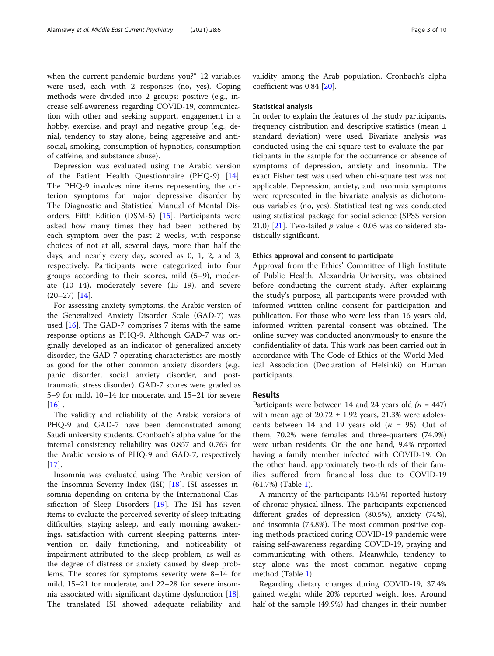when the current pandemic burdens you?" 12 variables were used, each with 2 responses (no, yes). Coping methods were divided into 2 groups; positive (e.g., increase self-awareness regarding COVID-19, communication with other and seeking support, engagement in a hobby, exercise, and pray) and negative group (e.g., denial, tendency to stay alone, being aggressive and antisocial, smoking, consumption of hypnotics, consumption of caffeine, and substance abuse).

Depression was evaluated using the Arabic version of the Patient Health Questionnaire (PHQ-9) [\[14](#page-9-0)]. The PHQ-9 involves nine items representing the criterion symptoms for major depressive disorder by The Diagnostic and Statistical Manual of Mental Disorders, Fifth Edition (DSM-5) [[15\]](#page-9-0). Participants were asked how many times they had been bothered by each symptom over the past 2 weeks, with response choices of not at all, several days, more than half the days, and nearly every day, scored as 0, 1, 2, and 3, respectively. Participants were categorized into four groups according to their scores, mild (5–9), moderate (10–14), moderately severe (15–19), and severe  $(20-27)$  [\[14](#page-9-0)].

For assessing anxiety symptoms, the Arabic version of the Generalized Anxiety Disorder Scale (GAD-7) was used [\[16\]](#page-9-0). The GAD-7 comprises 7 items with the same response options as PHQ-9. Although GAD-7 was originally developed as an indicator of generalized anxiety disorder, the GAD-7 operating characteristics are mostly as good for the other common anxiety disorders (e.g., panic disorder, social anxiety disorder, and posttraumatic stress disorder). GAD-7 scores were graded as 5–9 for mild, 10–14 for moderate, and 15–21 for severe  $[16]$  $[16]$ .

The validity and reliability of the Arabic versions of PHQ-9 and GAD-7 have been demonstrated among Saudi university students. Cronbach's alpha value for the internal consistency reliability was 0.857 and 0.763 for the Arabic versions of PHQ-9 and GAD-7, respectively  $[17]$  $[17]$ .

Insomnia was evaluated using The Arabic version of the Insomnia Severity Index (ISI) [[18](#page-9-0)]. ISI assesses insomnia depending on criteria by the International Classification of Sleep Disorders [[19](#page-9-0)]. The ISI has seven items to evaluate the perceived severity of sleep initiating difficulties, staying asleep, and early morning awakenings, satisfaction with current sleeping patterns, intervention on daily functioning, and noticeability of impairment attributed to the sleep problem, as well as the degree of distress or anxiety caused by sleep problems. The scores for symptoms severity were 8–14 for mild, 15–21 for moderate, and 22–28 for severe insomnia associated with significant daytime dysfunction [\[18](#page-9-0)]. The translated ISI showed adequate reliability and validity among the Arab population. Cronbach's alpha coefficient was 0.84 [[20\]](#page-9-0).

#### Statistical analysis

In order to explain the features of the study participants, frequency distribution and descriptive statistics (mean ± standard deviation) were used. Bivariate analysis was conducted using the chi-square test to evaluate the participants in the sample for the occurrence or absence of symptoms of depression, anxiety and insomnia. The exact Fisher test was used when chi-square test was not applicable. Depression, anxiety, and insomnia symptoms were represented in the bivariate analysis as dichotomous variables (no, yes). Statistical testing was conducted using statistical package for social science (SPSS version 21.0) [\[21\]](#page-9-0). Two-tailed  $p$  value < 0.05 was considered statistically significant.

### Ethics approval and consent to participate

Approval from the Ethics' Committee of High Institute of Public Health, Alexandria University, was obtained before conducting the current study. After explaining the study's purpose, all participants were provided with informed written online consent for participation and publication. For those who were less than 16 years old, informed written parental consent was obtained. The online survey was conducted anonymously to ensure the confidentiality of data. This work has been carried out in accordance with The Code of Ethics of the World Medical Association (Declaration of Helsinki) on Human participants.

#### Results

Participants were between 14 and 24 years old  $(n = 447)$ with mean age of  $20.72 \pm 1.92$  years, 21.3% were adolescents between 14 and 19 years old ( $n = 95$ ). Out of them, 70.2% were females and three-quarters (74.9%) were urban residents. On the one hand, 9.4% reported having a family member infected with COVID-19. On the other hand, approximately two-thirds of their families suffered from financial loss due to COVID-19 (61.7%) (Table [1\)](#page-3-0).

A minority of the participants (4.5%) reported history of chronic physical illness. The participants experienced different grades of depression (80.5%), anxiety (74%), and insomnia (73.8%). The most common positive coping methods practiced during COVID-19 pandemic were raising self-awareness regarding COVID-19, praying and communicating with others. Meanwhile, tendency to stay alone was the most common negative coping method (Table [1](#page-3-0)).

Regarding dietary changes during COVID-19, 37.4% gained weight while 20% reported weight loss. Around half of the sample (49.9%) had changes in their number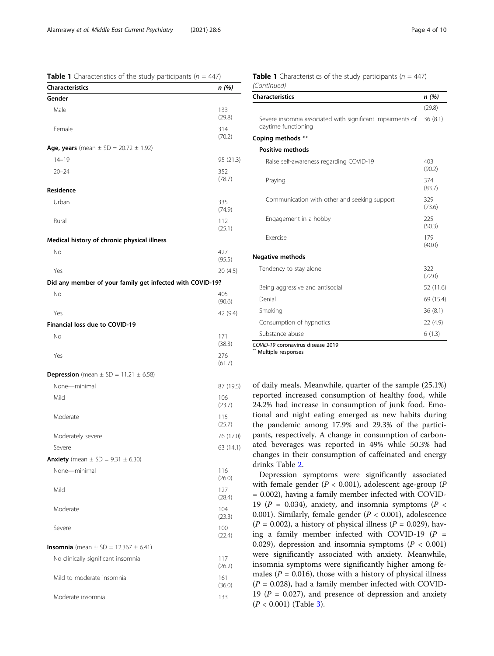<span id="page-3-0"></span>

| <b>Table 1</b> Characteristics of the study participants ( $n = 447$ ) |  |
|------------------------------------------------------------------------|--|
|------------------------------------------------------------------------|--|

| <b>Characteristics</b>                                    | n (%)         |
|-----------------------------------------------------------|---------------|
| Gender                                                    |               |
| Male                                                      | 133<br>(29.8) |
| Female                                                    | 314<br>(70.2) |
| <b>Age, years</b> (mean $\pm$ SD = 20.72 $\pm$ 1.92)      |               |
| $14 - 19$                                                 | 95 (21.3)     |
| $20 - 24$                                                 | 352<br>(78.7) |
| Residence                                                 |               |
| Urban                                                     | 335<br>(74.9) |
| Rural                                                     | 112<br>(25.1) |
| Medical history of chronic physical illness               |               |
| No                                                        | 427<br>(95.5) |
| Yes                                                       | 20 (4.5)      |
| Did any member of your family get infected with COVID-19? |               |
| No                                                        | 405<br>(90.6) |
| Yes                                                       | 42 (9.4)      |
| Financial loss due to COVID-19                            |               |
| No                                                        | 171<br>(38.3) |
| Yes                                                       | 276<br>(61.7) |
| <b>Depression</b> (mean $\pm$ SD = 11.21 $\pm$ 6.58)      |               |
| None-minimal                                              | 87 (19.5)     |
| Mild                                                      | 106<br>(23.7) |
| Moderate                                                  | 115<br>(25.7) |
| Moderately severe                                         | 76 (17.0)     |
| Severe                                                    | 63 (14.1)     |
| <b>Anxiety</b> (mean $\pm$ SD = 9.31 $\pm$ 6.30)          |               |
| None-minimal                                              | 116<br>(26.0) |
| Mild                                                      | 127<br>(28.4) |
| Moderate                                                  | 104<br>(23.3) |
| Severe                                                    | 100<br>(22.4) |
| <b>Insomnia</b> (mean $\pm$ SD = 12.367 $\pm$ 6.41)       |               |
| No clinically significant insomnia                        | 117<br>(26.2) |
| Mild to moderate insomnia                                 | 161<br>(36.0) |
| Moderate insomnia                                         | 133           |

|             | <b>Table 1</b> Characteristics of the study participants ( $n = 447$ ) |  |  |
|-------------|------------------------------------------------------------------------|--|--|
| (Continued) |                                                                        |  |  |

| <b>Characteristics</b>                                                            | n (%)         |
|-----------------------------------------------------------------------------------|---------------|
|                                                                                   | (29.8)        |
| Severe insomnia associated with significant impairments of<br>daytime functioning | 36(8.1)       |
| Coping methods **                                                                 |               |
| <b>Positive methods</b>                                                           |               |
| Raise self-awareness regarding COVID-19                                           | 403<br>(90.2) |
| Praying                                                                           | 374<br>(83.7) |
| Communication with other and seeking support                                      | 329<br>(73.6) |
| Engagement in a hobby                                                             | 225<br>(50.3) |
| <b><i><u>Exercise</u></i></b>                                                     | 179<br>(40.0) |
| <b>Negative methods</b>                                                           |               |
| Tendency to stay alone                                                            | 322<br>(72.0) |
| Being aggressive and antisocial                                                   | 52 (11.6)     |
| Denial                                                                            | 69 (15.4)     |
| Smoking                                                                           | 36(8.1)       |
| Consumption of hypnotics                                                          | 22(4.9)       |
| Substance abuse                                                                   | 6(1.3)        |

COVID-19 coronavirus disease 2019 \*\* Multiple responses

of daily meals. Meanwhile, quarter of the sample (25.1%) reported increased consumption of healthy food, while 24.2% had increase in consumption of junk food. Emotional and night eating emerged as new habits during the pandemic among 17.9% and 29.3% of the participants, respectively. A change in consumption of carbonated beverages was reported in 49% while 50.3% had changes in their consumption of caffeinated and energy drinks Table [2](#page-4-0).

Depression symptoms were significantly associated with female gender ( $P < 0.001$ ), adolescent age-group ( $P$ = 0.002), having a family member infected with COVID-19 ( $P = 0.034$ ), anxiety, and insomnia symptoms ( $P <$ 0.001). Similarly, female gender ( $P < 0.001$ ), adolescence  $(P = 0.002)$ , a history of physical illness  $(P = 0.029)$ , having a family member infected with COVID-19 ( $P =$ 0.029), depression and insomnia symptoms ( $P < 0.001$ ) were significantly associated with anxiety. Meanwhile, insomnia symptoms were significantly higher among females ( $P = 0.016$ ), those with a history of physical illness  $(P = 0.028)$ , had a family member infected with COVID-19 ( $P = 0.027$ ), and presence of depression and anxiety  $(P < 0.001)$  (Table [3\)](#page-5-0).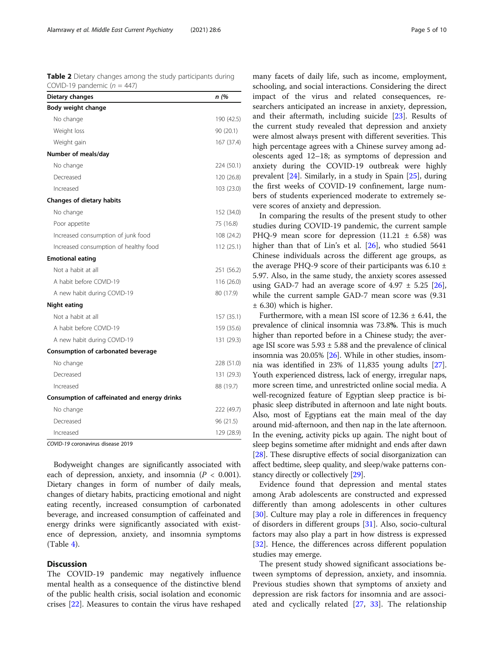<span id="page-4-0"></span>Table 2 Dietary changes among the study participants during COVID-19 pandemic  $(n = 447)$ 

| Dietary changes                              | n (%       |
|----------------------------------------------|------------|
| Body weight change                           |            |
| No change                                    | 190 (42.5) |
| Weight loss                                  | 90(20.1)   |
| Weight gain                                  | 167 (37.4) |
| Number of meals/day                          |            |
| No change                                    | 224 (50.1) |
| Decreased                                    | 120 (26.8) |
| Increased                                    | 103 (23.0) |
| <b>Changes of dietary habits</b>             |            |
| No change                                    | 152 (34.0) |
| Poor appetite                                | 75 (16.8)  |
| Increased consumption of junk food           | 108 (24.2) |
| Increased consumption of healthy food        | 112 (25.1) |
| <b>Emotional eating</b>                      |            |
| Not a habit at all                           | 251 (56.2) |
| A habit before COVID-19                      | 116 (26.0) |
| A new habit during COVID-19                  | 80 (17.9)  |
| Night eating                                 |            |
| Not a habit at all                           | 157 (35.1) |
| A habit before COVID-19                      | 159 (35.6) |
| A new habit during COVID-19                  | 131 (29.3) |
| Consumption of carbonated beverage           |            |
| No change                                    | 228 (51.0) |
| Decreased                                    | 131 (29.3) |
| Increased                                    | 88 (19.7)  |
| Consumption of caffeinated and energy drinks |            |
| No change                                    | 222 (49.7) |
| Decreased                                    | 96 (21.5)  |
| Increased                                    | 129 (28.9) |

COVID-19 coronavirus disease 2019

Bodyweight changes are significantly associated with each of depression, anxiety, and insomnia ( $P < 0.001$ ). Dietary changes in form of number of daily meals, changes of dietary habits, practicing emotional and night eating recently, increased consumption of carbonated beverage, and increased consumption of caffeinated and energy drinks were significantly associated with existence of depression, anxiety, and insomnia symptoms  $(Table 4)$  $(Table 4)$ .

# **Discussion**

The COVID-19 pandemic may negatively influence mental health as a consequence of the distinctive blend of the public health crisis, social isolation and economic crises [[22\]](#page-9-0). Measures to contain the virus have reshaped

many facets of daily life, such as income, employment, schooling, and social interactions. Considering the direct impact of the virus and related consequences, researchers anticipated an increase in anxiety, depression, and their aftermath, including suicide [\[23\]](#page-9-0). Results of the current study revealed that depression and anxiety were almost always present with different severities. This high percentage agrees with a Chinese survey among adolescents aged 12–18; as symptoms of depression and anxiety during the COVID-19 outbreak were highly prevalent [[24\]](#page-9-0). Similarly, in a study in Spain [\[25](#page-9-0)], during the first weeks of COVID-19 confinement, large numbers of students experienced moderate to extremely severe scores of anxiety and depression.

In comparing the results of the present study to other studies during COVID-19 pandemic, the current sample PHQ-9 mean score for depression  $(11.21 \pm 6.58)$  was higher than that of Lin's et al. [\[26](#page-9-0)], who studied 5641 Chinese individuals across the different age groups, as the average PHQ-9 score of their participants was  $6.10 \pm$ 5.97. Also, in the same study, the anxiety scores assessed using GAD-7 had an average score of  $4.97 \pm 5.25$  [\[26](#page-9-0)], while the current sample GAD-7 mean score was (9.31 ± 6.30) which is higher.

Furthermore, with a mean ISI score of  $12.36 \pm 6.41$ , the prevalence of clinical insomnia was 73.8%. This is much higher than reported before in a Chinese study; the average ISI score was  $5.93 \pm 5.88$  and the prevalence of clinical insomnia was 20.05% [[26](#page-9-0)]. While in other studies, insomnia was identified in 23% of 11,835 young adults [[27](#page-9-0)]. Youth experienced distress, lack of energy, irregular naps, more screen time, and unrestricted online social media. A well-recognized feature of Egyptian sleep practice is biphasic sleep distributed in afternoon and late night bouts. Also, most of Egyptians eat the main meal of the day around mid-afternoon, and then nap in the late afternoon. In the evening, activity picks up again. The night bout of sleep begins sometime after midnight and ends after dawn [[28](#page-9-0)]. These disruptive effects of social disorganization can affect bedtime, sleep quality, and sleep/wake patterns constancy directly or collectively [[29](#page-9-0)].

Evidence found that depression and mental states among Arab adolescents are constructed and expressed differently than among adolescents in other cultures [[30\]](#page-9-0). Culture may play a role in differences in frequency of disorders in different groups [\[31](#page-9-0)]. Also, socio-cultural factors may also play a part in how distress is expressed [[32\]](#page-9-0). Hence, the differences across different population studies may emerge.

The present study showed significant associations between symptoms of depression, anxiety, and insomnia. Previous studies shown that symptoms of anxiety and depression are risk factors for insomnia and are associated and cyclically related [[27,](#page-9-0) [33](#page-9-0)]. The relationship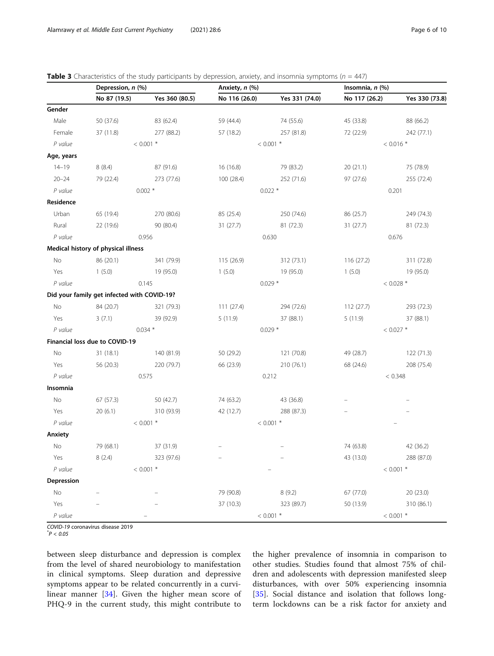|            | Depression, n (%)                           |                | Anxiety, n (%) |                     | Insomnia, n (%) |                |  |
|------------|---------------------------------------------|----------------|----------------|---------------------|-----------------|----------------|--|
|            | No 87 (19.5)                                | Yes 360 (80.5) | No 116 (26.0)  | Yes 331 (74.0)      | No 117 (26.2)   | Yes 330 (73.8) |  |
| Gender     |                                             |                |                |                     |                 |                |  |
| Male       | 50 (37.6)                                   | 83 (62.4)      | 59 (44.4)      | 74 (55.6)           | 45 (33.8)       | 88 (66.2)      |  |
| Female     | 37 (11.8)                                   | 277 (88.2)     | 57 (18.2)      | 257 (81.8)          | 72 (22.9)       | 242 (77.1)     |  |
| P value    |                                             | $< 0.001$ *    |                | $< 0.001$ *         |                 | $< 0.016$ *    |  |
| Age, years |                                             |                |                |                     |                 |                |  |
| $14 - 19$  | 8(8.4)                                      | 87 (91.6)      | 16 (16.8)      | 79 (83.2)           | 20 (21.1)       | 75 (78.9)      |  |
| $20 - 24$  | 79 (22.4)                                   | 273 (77.6)     | 100 (28.4)     | 252 (71.6)          | 97 (27.6)       | 255 (72.4)     |  |
| P value    |                                             | $0.002*$       |                | $0.022*$            | 0.201           |                |  |
| Residence  |                                             |                |                |                     |                 |                |  |
| Urban      | 65 (19.4)                                   | 270 (80.6)     | 85 (25.4)      | 250 (74.6)          | 86 (25.7)       | 249 (74.3)     |  |
| Rural      | 22 (19.6)                                   | 90 (80.4)      | 31(27.7)       | 81 (72.3)           | 31 (27.7)       | 81 (72.3)      |  |
| P value    |                                             | 0.956          |                | 0.630               | 0.676           |                |  |
|            | Medical history of physical illness         |                |                |                     |                 |                |  |
| No         | 86 (20.1)                                   | 341 (79.9)     | 115 (26.9)     | 312 (73.1)          | 116 (27.2)      | 311 (72.8)     |  |
| Yes        | 1(5.0)                                      | 19 (95.0)      | 1(5.0)         | 19 (95.0)           | 1(5.0)          | 19 (95.0)      |  |
| P value    | 0.145                                       |                |                | $0.029*$            | $< 0.028$ *     |                |  |
|            | Did your family get infected with COVID-19? |                |                |                     |                 |                |  |
| No         | 84 (20.7)                                   | 321 (79.3)     | 111(27.4)      | 294 (72.6)          | 112(27.7)       | 293 (72.3)     |  |
| Yes        | 3(7.1)                                      | 39 (92.9)      | 5(11.9)        | 37 (88.1)           | 5(11.9)         | 37 (88.1)      |  |
| P value    |                                             | $0.034*$       | $0.029*$       |                     | $< 0.027$ *     |                |  |
|            | Financial loss due to COVID-19              |                |                |                     |                 |                |  |
| No         | 31(18.1)                                    | 140 (81.9)     | 50 (29.2)      | 121 (70.8)          | 49 (28.7)       | 122 (71.3)     |  |
| Yes        | 56 (20.3)                                   | 220 (79.7)     | 66 (23.9)      | 210 (76.1)          | 68 (24.6)       | 208 (75.4)     |  |
| P value    |                                             | 0.575          |                | 0.212               | < 0.348         |                |  |
| Insomnia   |                                             |                |                |                     |                 |                |  |
| No         | 67(57.3)                                    | 50 (42.7)      | 74 (63.2)      | 43 (36.8)           |                 |                |  |
| Yes        | 20(6.1)                                     | 310 (93.9)     | 42 (12.7)      | 288 (87.3)          |                 |                |  |
| P value    | $< 0.001$ *                                 |                | $< 0.001$ *    |                     |                 |                |  |
| Anxiety    |                                             |                |                |                     |                 |                |  |
| No         | 79 (68.1)                                   | 37 (31.9)      |                |                     | 74 (63.8)       | 42 (36.2)      |  |
| Yes        | 8(2.4)                                      | 323 (97.6)     |                |                     | 43 (13.0)       | 288 (87.0)     |  |
| P value    |                                             | $< 0.001$ *    |                |                     |                 | $< 0.001$ *    |  |
| Depression |                                             |                |                |                     |                 |                |  |
| No         |                                             |                | 79 (90.8)      | 8(9.2)              | 67 (77.0)       | 20 (23.0)      |  |
| Yes        |                                             |                | 37 (10.3)      | 323 (89.7)          | 50 (13.9)       | 310 (86.1)     |  |
| P value    |                                             |                |                | $<$ 0.001 $^{\ast}$ |                 | $< 0.001$ *    |  |

<span id="page-5-0"></span>**Table 3** Characteristics of the study participants by depression, anxiety, and insomnia symptoms ( $n = 447$ )

COVID-19 coronavirus disease 2019 \*

 $^*P < 0.05$ 

between sleep disturbance and depression is complex from the level of shared neurobiology to manifestation in clinical symptoms. Sleep duration and depressive symptoms appear to be related concurrently in a curvilinear manner [\[34](#page-9-0)]. Given the higher mean score of PHQ-9 in the current study, this might contribute to

the higher prevalence of insomnia in comparison to other studies. Studies found that almost 75% of children and adolescents with depression manifested sleep disturbances, with over 50% experiencing insomnia [[35\]](#page-9-0). Social distance and isolation that follows longterm lockdowns can be a risk factor for anxiety and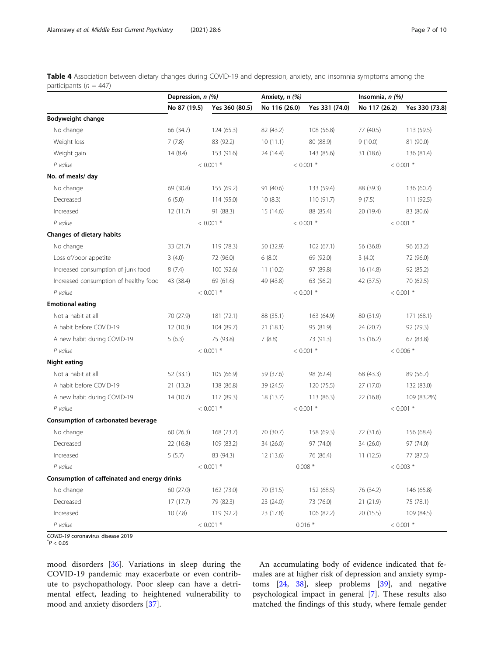<span id="page-6-0"></span>Table 4 Association between dietary changes during COVID-19 and depression, anxiety, and insomnia symptoms among the participants ( $n = 447$ )

|                                              | Depression, n (%) |                | Anxiety, n (%) |                | Insomnia, n (%) |                |  |
|----------------------------------------------|-------------------|----------------|----------------|----------------|-----------------|----------------|--|
|                                              | No 87 (19.5)      | Yes 360 (80.5) | No 116 (26.0)  | Yes 331 (74.0) | No 117 (26.2)   | Yes 330 (73.8) |  |
| Bodyweight change                            |                   |                |                |                |                 |                |  |
| No change                                    | 66 (34.7)         | 124(65.3)      | 82 (43.2)      | 108 (56.8)     | 77 (40.5)       | 113 (59.5)     |  |
| Weight loss                                  | 7(7.8)            | 83 (92.2)      | 10(11.1)       | 80 (88.9)      | 9(10.0)         | 81 (90.0)      |  |
| Weight gain                                  | 14(8.4)           | 153 (91.6)     | 24 (14.4)      | 143 (85.6)     | 31 (18.6)       | 136 (81.4)     |  |
| P value                                      | $< 0.001$ *       |                | $< 0.001$ *    |                | $< 0.001$ *     |                |  |
| No. of meals/ day                            |                   |                |                |                |                 |                |  |
| No change                                    | 69 (30.8)         | 155 (69.2)     | 91 (40.6)      | 133 (59.4)     | 88 (39.3)       | 136 (60.7)     |  |
| Decreased                                    | 6(5.0)            | 114 (95.0)     | 10(8.3)        | 110 (91.7)     | 9(7.5)          | 111(92.5)      |  |
| Increased                                    | 12(11.7)          | 91 (88.3)      | 15 (14.6)      | 88 (85.4)      | 20 (19.4)       | 83 (80.6)      |  |
| P value                                      | $< 0.001$ *       |                |                | $< 0.001$ *    |                 | $< 0.001$ *    |  |
| Changes of dietary habits                    |                   |                |                |                |                 |                |  |
| No change                                    | 33 (21.7)         | 119 (78.3)     | 50 (32.9)      | 102(67.1)      | 56 (36.8)       | 96 (63.2)      |  |
| Loss of/poor appetite                        | 3(4.0)            | 72 (96.0)      | 6(8.0)         | 69 (92.0)      | 3(4.0)          | 72 (96.0)      |  |
| Increased consumption of junk food           | 8(7.4)            | 100 (92.6)     | 11(10.2)       | 97 (89.8)      | 16 (14.8)       | 92 (85.2)      |  |
| Increased consumption of healthy food        | 43 (38.4)         | 69 (61.6)      | 49 (43.8)      | 63 (56.2)      | 42 (37.5)       | 70 (62.5)      |  |
| P value                                      | $< 0.001$ *       |                | $< 0.001$ *    |                | $< 0.001$ *     |                |  |
| <b>Emotional eating</b>                      |                   |                |                |                |                 |                |  |
| Not a habit at all                           | 70 (27.9)         | 181 (72.1)     | 88 (35.1)      | 163 (64.9)     | 80 (31.9)       | 171 (68.1)     |  |
| A habit before COVID-19                      | 12(10.3)          | 104 (89.7)     | 21(18.1)       | 95 (81.9)      | 24 (20.7)       | 92 (79.3)      |  |
| A new habit during COVID-19                  | 5(6.3)            | 75 (93.8)      | 7(8.8)         | 73 (91.3)      | 13 (16.2)       | 67 (83.8)      |  |
| P value                                      |                   | $< 0.001$ *    |                | $< 0.001$ *    |                 | $< 0.006$ *    |  |
| <b>Night eating</b>                          |                   |                |                |                |                 |                |  |
| Not a habit at all                           | 52 (33.1)         | 105 (66.9)     | 59 (37.6)      | 98 (62.4)      | 68 (43.3)       | 89 (56.7)      |  |
| A habit before COVID-19                      | 21 (13.2)         | 138 (86.8)     | 39 (24.5)      | 120 (75.5)     | 27 (17.0)       | 132 (83.0)     |  |
| A new habit during COVID-19                  | 14(10.7)          | 117 (89.3)     | 18 (13.7)      | 113 (86.3)     | 22 (16.8)       | 109 (83.2%)    |  |
| P value                                      |                   | $< 0.001$ *    | $< 0.001$ *    |                | $< 0.001$ *     |                |  |
| Consumption of carbonated beverage           |                   |                |                |                |                 |                |  |
| No change                                    | 60(26.3)          | 168 (73.7)     | 70 (30.7)      | 158 (69.3)     | 72 (31.6)       | 156 (68.4)     |  |
| Decreased                                    | 22 (16.8)         | 109 (83.2)     | 34 (26.0)      | 97 (74.0)      | 34 (26.0)       | 97 (74.0)      |  |
| Increased                                    | 5(5.7)            | 83 (94.3)      | 12 (13.6)      | 76 (86.4)      | 11(12.5)        | 77 (87.5)      |  |
| P value                                      | $< 0.001$ *       |                | $0.008*$       |                | $< 0.003$ *     |                |  |
| Consumption of caffeinated and energy drinks |                   |                |                |                |                 |                |  |
| No change                                    | 60 (27.0)         | 162 (73.0)     | 70 (31.5)      | 152 (68.5)     | 76 (34.2)       | 146 (65.8)     |  |
| Decreased                                    | 17(17.7)          | 79 (82.3)      | 23 (24.0)      | 73 (76.0)      | 21 (21.9)       | 75 (78.1)      |  |
| Increased                                    | 10(7.8)           | 119 (92.2)     | 23 (17.8)      | 106 (82.2)     | 20 (15.5)       | 109 (84.5)     |  |
| P value                                      |                   | $< 0.001$ *    |                | $0.016*$       |                 | $< 0.001$ *    |  |

COVID-19 coronavirus disease 2019 \*

 $^*P < 0.05$ 

mood disorders [[36\]](#page-9-0). Variations in sleep during the COVID-19 pandemic may exacerbate or even contribute to psychopathology. Poor sleep can have a detrimental effect, leading to heightened vulnerability to mood and anxiety disorders [[37](#page-9-0)].

An accumulating body of evidence indicated that females are at higher risk of depression and anxiety symptoms [\[24](#page-9-0), [38\]](#page-9-0), sleep problems [\[39](#page-9-0)], and negative psychological impact in general [\[7\]](#page-9-0). These results also matched the findings of this study, where female gender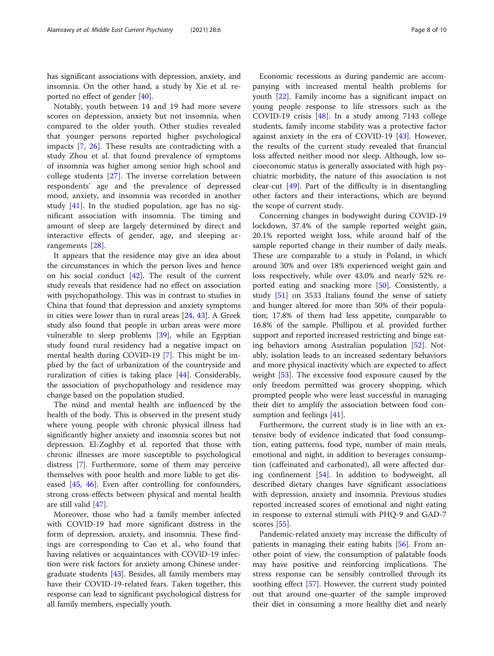has significant associations with depression, anxiety, and insomnia. On the other hand, a study by Xie et al. reported no effect of gender [[40\]](#page-9-0).

Notably, youth between 14 and 19 had more severe scores on depression, anxiety but not insomnia, when compared to the older youth. Other studies revealed that younger persons reported higher psychological impacts [\[7](#page-9-0), [26\]](#page-9-0). These results are contradicting with a study Zhou et al. that found prevalence of symptoms of insomnia was higher among senior high school and college students [\[27](#page-9-0)]. The inverse correlation between respondents' age and the prevalence of depressed mood, anxiety, and insomnia was recorded in another study  $[41]$  $[41]$ . In the studied population, age has no significant association with insomnia. The timing and amount of sleep are largely determined by direct and interactive effects of gender, age, and sleeping arrangements [\[28](#page-9-0)].

It appears that the residence may give an idea about the circumstances in which the person lives and hence on his social conduct [[42\]](#page-9-0). The result of the current study reveals that residence had no effect on association with psychopathology. This was in contrast to studies in China that found that depression and anxiety symptoms in cities were lower than in rural areas [\[24](#page-9-0), [43](#page-9-0)]. A Greek study also found that people in urban areas were more vulnerable to sleep problems [[39](#page-9-0)], while an Egyptian study found rural residency had a negative impact on mental health during COVID-19 [[7\]](#page-9-0). This might be implied by the fact of urbanization of the countryside and ruralization of cities is taking place [\[44](#page-9-0)]. Considerably, the association of psychopathology and residence may change based on the population studied.

The mind and mental health are influenced by the health of the body. This is observed in the present study where young people with chronic physical illness had significantly higher anxiety and insomnia scores but not depression. El-Zoghby et al. reported that those with chronic illnesses are more susceptible to psychological distress [\[7](#page-9-0)]. Furthermore, some of them may perceive themselves with poor health and more liable to get diseased [[45,](#page-9-0) [46](#page-9-0)]. Even after controlling for confounders, strong cross-effects between physical and mental health are still valid [\[47\]](#page-9-0).

Moreover, those who had a family member infected with COVID-19 had more significant distress in the form of depression, anxiety, and insomnia. These findings are corresponding to Cao et al., who found that having relatives or acquaintances with COVID-19 infection were risk factors for anxiety among Chinese undergraduate students [\[43](#page-9-0)]. Besides, all family members may have their COVID-19-related fears. Taken together, this response can lead to significant psychological distress for all family members, especially youth.

Economic recessions as during pandemic are accompanying with increased mental health problems for youth [[22\]](#page-9-0). Family income has a significant impact on young people response to life stressors such as the COVID-19 crisis [\[48](#page-9-0)]. In a study among 7143 college students, family income stability was a protective factor against anxiety in the era of COVID-19 [[43](#page-9-0)]. However, the results of the current study revealed that financial loss affected neither mood nor sleep. Although, low socioeconomic status is generally associated with high psychiatric morbidity, the nature of this association is not clear-cut [\[49](#page-9-0)]. Part of the difficulty is in disentangling other factors and their interactions, which are beyond the scope of current study.

Concerning changes in bodyweight during COVID-19 lockdown, 37.4% of the sample reported weight gain, 20.1% reported weight loss, while around half of the sample reported change in their number of daily meals. These are comparable to a study in Poland, in which around 30% and over 18% experienced weight gain and loss respectively, while over 43.0% and nearly 52% reported eating and snacking more [\[50](#page-9-0)]. Consistently, a study [[51](#page-9-0)] on 3533 Italians found the sense of satiety and hunger altered for more than 50% of their population; 17.8% of them had less appetite, comparable to 16.8% of the sample. Phillipou et al. provided further support and reported increased restricting and binge eating behaviors among Australian population [[52\]](#page-9-0). Notably, isolation leads to an increased sedentary behaviors and more physical inactivity which are expected to affect weight [[53](#page-9-0)]. The excessive food exposure caused by the only freedom permitted was grocery shopping, which prompted people who were least successful in managing their diet to amplify the association between food con-sumption and feelings [\[41](#page-9-0)].

Furthermore, the current study is in line with an extensive body of evidence indicated that food consumption, eating patterns, food type, number of main meals, emotional and night, in addition to beverages consumption (caffeinated and carbonated), all were affected during confinement [\[54\]](#page-9-0). In addition to bodyweight, all described dietary changes have significant associations with depression, anxiety and insomnia. Previous studies reported increased scores of emotional and night eating in response to external stimuli with PHQ-9 and GAD-7 scores [[55\]](#page-9-0).

Pandemic-related anxiety may increase the difficulty of patients in managing their eating habits [[56\]](#page-9-0). From another point of view, the consumption of palatable foods may have positive and reinforcing implications. The stress response can be sensibly controlled through its soothing effect [[57\]](#page-9-0). However, the current study pointed out that around one-quarter of the sample improved their diet in consuming a more healthy diet and nearly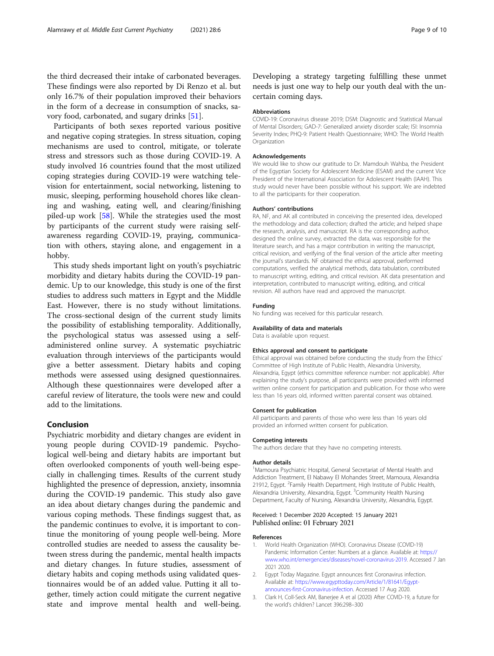<span id="page-8-0"></span>the third decreased their intake of carbonated beverages. These findings were also reported by Di Renzo et al. but only 16.7% of their population improved their behaviors in the form of a decrease in consumption of snacks, savory food, carbonated, and sugary drinks [[51\]](#page-9-0).

Participants of both sexes reported various positive and negative coping strategies. In stress situation, coping mechanisms are used to control, mitigate, or tolerate stress and stressors such as those during COVID-19. A study involved 16 countries found that the most utilized coping strategies during COVID-19 were watching television for entertainment, social networking, listening to music, sleeping, performing household chores like cleaning and washing, eating well, and clearing/finishing piled-up work [[58\]](#page-9-0). While the strategies used the most by participants of the current study were raising selfawareness regarding COVID-19, praying, communication with others, staying alone, and engagement in a hobby.

This study sheds important light on youth's psychiatric morbidity and dietary habits during the COVID-19 pandemic. Up to our knowledge, this study is one of the first studies to address such matters in Egypt and the Middle East. However, there is no study without limitations. The cross-sectional design of the current study limits the possibility of establishing temporality. Additionally, the psychological status was assessed using a selfadministered online survey. A systematic psychiatric evaluation through interviews of the participants would give a better assessment. Dietary habits and coping methods were assessed using designed questionnaires. Although these questionnaires were developed after a careful review of literature, the tools were new and could add to the limitations.

# Conclusion

Psychiatric morbidity and dietary changes are evident in young people during COVID-19 pandemic. Psychological well-being and dietary habits are important but often overlooked components of youth well-being especially in challenging times. Results of the current study highlighted the presence of depression, anxiety, insomnia during the COVID-19 pandemic. This study also gave an idea about dietary changes during the pandemic and various coping methods. These findings suggest that, as the pandemic continues to evolve, it is important to continue the monitoring of young people well-being. More controlled studies are needed to assess the causality between stress during the pandemic, mental health impacts and dietary changes. In future studies, assessment of dietary habits and coping methods using validated questionnaires would be of an added value. Putting it all together, timely action could mitigate the current negative state and improve mental health and well-being.

Developing a strategy targeting fulfilling these unmet needs is just one way to help our youth deal with the uncertain coming days.

#### Abbreviations

COVID-19: Coronavirus disease 2019; DSM: Diagnostic and Statistical Manual of Mental Disorders; GAD-7: Generalized anxiety disorder scale; ISI: Insomnia Severity Index; PHQ-9: Patient Health Questionnaire; WHO: The World Health Organization

#### Acknowledgements

We would like to show our gratitude to Dr. Mamdouh Wahba, the President of the Egyptian Society for Adolescent Medicine (ESAM) and the current Vice President of the International Association for Adolescent Health (IAAH). This study would never have been possible without his support. We are indebted to all the participants for their cooperation.

#### Authors' contributions

RA, NF, and AK all contributed in conceiving the presented idea, developed the methodology and data collection; drafted the article; and helped shape the research, analysis, and manuscript. RA is the corresponding author, designed the online survey, extracted the data, was responsible for the literature search, and has a major contribution in writing the manuscript, critical revision, and verifying of the final version of the article after meeting the journal's standards. NF obtained the ethical approval, performed computations, verified the analytical methods, data tabulation, contributed to manuscript writing, editing, and critical revision. AK data presentation and interpretation, contributed to manuscript writing, editing, and critical revision. All authors have read and approved the manuscript.

#### Funding

No funding was received for this particular research.

# Availability of data and materials

Data is available upon request.

#### Ethics approval and consent to participate

Ethical approval was obtained before conducting the study from the Ethics' Committee of High Institute of Public Health, Alexandria University, Alexandria, Egypt (ethics committee reference number: not applicable). After explaining the study's purpose, all participants were provided with informed written online consent for participation and publication. For those who were less than 16 years old, informed written parental consent was obtained.

#### Consent for publication

All participants and parents of those who were less than 16 years old provided an informed written consent for publication.

#### Competing interests

The authors declare that they have no competing interests.

#### Author details

<sup>1</sup>Mamoura Psychiatric Hospital, General Secretariat of Mental Health and Addiction Treatment, El Nabawy El Mohandes Street, Mamoura, Alexandria 21912, Egypt. <sup>2</sup> Family Health Department, High Institute of Public Health Alexandria University, Alexandria, Egypt. <sup>3</sup>Community Health Nursing Department, Faculty of Nursing, Alexandria University, Alexandria, Egypt.

### Received: 1 December 2020 Accepted: 15 January 2021 Published online: 01 February 2021

#### References

- 1. World Health Organization (WHO). Coronavirus Disease (COVID-19) Pandemic Information Center: Numbers at a glance. Available at: [https://](https://www.who.int/emergencies/diseases/novel-coronavirus-2019) [www.who.int/emergencies/diseases/novel-coronavirus-2019.](https://www.who.int/emergencies/diseases/novel-coronavirus-2019) Accessed 7 Jan 2021 2020.
- Egypt Today Magazine. Egypt announces first Coronavirus infection. Available at: [https://www.egypttoday.com/Article/1/81641/Egypt](https://www.egypttoday.com/Article/1/81641/Egypt-announces-first-Coronavirus-infection)[announces-first-Coronavirus-infection.](https://www.egypttoday.com/Article/1/81641/Egypt-announces-first-Coronavirus-infection) Accessed 17 Aug 2020.
- 3. Clark H, Coll-Seck AM, Banerjee A et al (2020) After COVID-19, a future for the world's children? Lancet 396:298–300